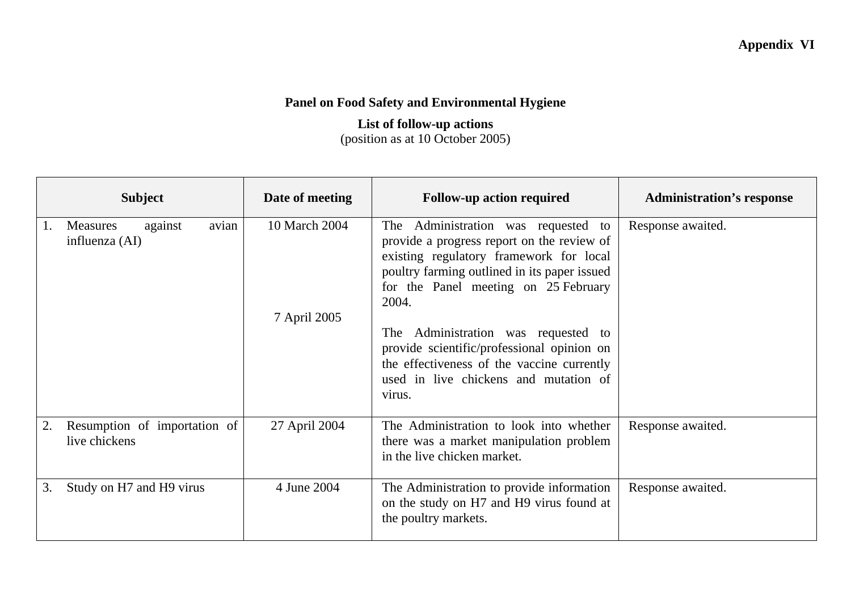## **Appendix VI**

## **Panel on Food Safety and Environmental Hygiene**

## **List of follow-up actions**  (position as at 10 October 2005)

| <b>Subject</b>                                                          | Date of meeting               | <b>Follow-up action required</b>                                                                                                                                                                                                                                                                                                                                                                                          | <b>Administration's response</b> |
|-------------------------------------------------------------------------|-------------------------------|---------------------------------------------------------------------------------------------------------------------------------------------------------------------------------------------------------------------------------------------------------------------------------------------------------------------------------------------------------------------------------------------------------------------------|----------------------------------|
| against<br>avian<br><b>Measures</b><br>$\mathbf{I}$ .<br>influenza (AI) | 10 March 2004<br>7 April 2005 | Administration was requested to<br>The<br>provide a progress report on the review of<br>existing regulatory framework for local<br>poultry farming outlined in its paper issued<br>for the Panel meeting on 25 February<br>2004.<br>Administration was requested to<br>The<br>provide scientific/professional opinion on<br>the effectiveness of the vaccine currently<br>used in live chickens and mutation of<br>virus. | Response awaited.                |
| Resumption of importation of<br>live chickens                           | 27 April 2004                 | The Administration to look into whether<br>there was a market manipulation problem<br>in the live chicken market.                                                                                                                                                                                                                                                                                                         | Response awaited.                |
| Study on H7 and H9 virus<br>3.                                          | 4 June 2004                   | The Administration to provide information<br>on the study on H7 and H9 virus found at<br>the poultry markets.                                                                                                                                                                                                                                                                                                             | Response awaited.                |